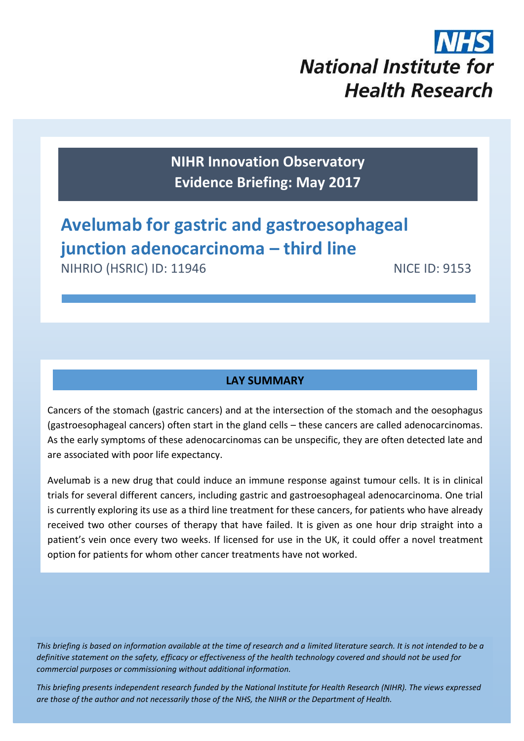# **National Institute for Health Research**

**NIHR Innovation Observatory Evidence Briefing: May 2017**

# **Avelumab for gastric and gastroesophageal junction adenocarcinoma – third line**

NIHRIO (HSRIC) ID: 11946 NICE ID: 9153

# **LAY SUMMARY**

Cancers of the stomach (gastric cancers) and at the intersection of the stomach and the oesophagus (gastroesophageal cancers) often start in the gland cells – these cancers are called adenocarcinomas. As the early symptoms of these adenocarcinomas can be unspecific, they are often detected late and are associated with poor life expectancy.

Avelumab is a new drug that could induce an immune response against tumour cells. It is in clinical trials for several different cancers, including gastric and gastroesophageal adenocarcinoma. One trial is currently exploring its use as a third line treatment for these cancers, for patients who have already received two other courses of therapy that have failed. It is given as one hour drip straight into a patient's vein once every two weeks. If licensed for use in the UK, it could offer a novel treatment option for patients for whom other cancer treatments have not worked.

*This briefing is based on information available at the time of research and a limited literature search. It is not intended to be a definitive statement on the safety, efficacy or effectiveness of the health technology covered and should not be used for commercial purposes or commissioning without additional information.*

1 *This briefing presents independent research funded by the National Institute for Health Research (NIHR). The views expressed are those of the author and not necessarily those of the NHS, the NIHR or the Department of Health.*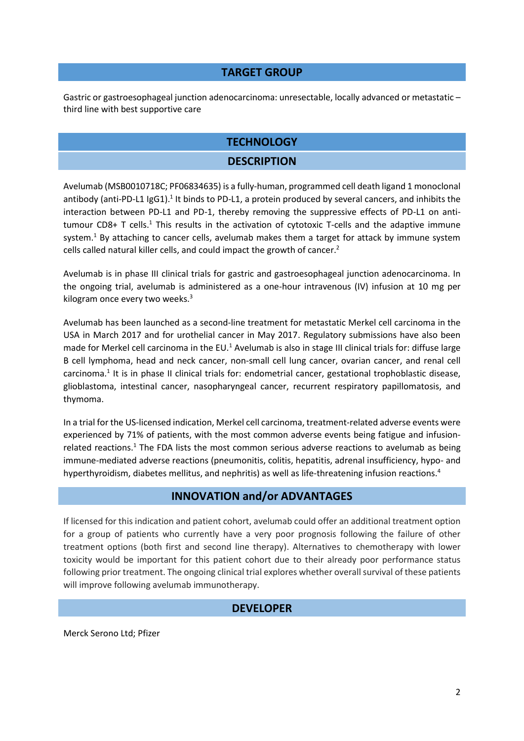#### **TARGET GROUP**

Gastric or gastroesophageal junction adenocarcinoma: unresectable, locally advanced or metastatic – third line with best supportive care

#### **TECHNOLOGY**

#### <span id="page-1-1"></span><span id="page-1-0"></span>**DESCRIPTION**

Avelumab (MSB0010718C; PF06834635) is a fully-human, programmed cell death ligand 1 monoclonal antibody (anti-PD-L1 IgG1).<sup>1</sup> It binds to PD-L1, a protein produced by several cancers, and inhibits the interaction between PD-L1 and PD-1, thereby removing the suppressive effects of PD-L1 on antitumour CD8+  $T$  cells[.](#page-1-0)<sup>1</sup> This results in the activation of cytotoxic T-cells and the adaptive immune system[.](#page-1-0)<sup>1</sup> By attaching to cancer cells, avelumab makes them a target for attack by immune system cells called natural killer cells, and could impact the growth of cancer.<sup>2</sup>

<span id="page-1-2"></span>Avelumab is in phase III clinical trials for gastric and gastroesophageal junction adenocarcinoma. In the ongoing trial, avelumab is administered as a one-hour intravenous (IV) infusion at 10 mg per kilogram once every two weeks. $3$ 

Avelumab has been launched as a second-line treatment for metastatic Merkel cell carcinoma in the USA in March 2017 and for urothelial cancer in May 2017. Regulatory submissions have also been made for Merkel cell carcinoma in the EU.<sup>[1](#page-1-0)</sup> Avelumab is also in stage III clinical trials for: diffuse large B cell lymphoma, head and neck cancer, non-small cell lung cancer, ovarian cancer, and renal cell carcinoma[.](#page-1-0)<sup>1</sup> It is in phase II clinical trials for: endometrial cancer, gestational trophoblastic disease, glioblastoma, intestinal cancer, nasopharyngeal cancer, recurrent respiratory papillomatosis, and thymoma.

In a trial for the US-licensed indication, Merkel cell carcinoma, treatment-related adverse events were experienced by 71% of patients, with the most common adverse events being fatigue and infusion-related reactions[.](#page-1-0)<sup>1</sup> The FDA lists the most common serious adverse reactions to avelumab as being immune-mediated adverse reactions (pneumonitis, colitis, hepatitis, adrenal insufficiency, hypo- and hyperthyroidism, diabetes mellitus, and nephritis) as well as life-threatening infusion reactions.<sup>4</sup>

#### **INNOVATION and/or ADVANTAGES**

If licensed for this indication and patient cohort, avelumab could offer an additional treatment option for a group of patients who currently have a very poor prognosis following the failure of other treatment options (both first and second line therapy). Alternatives to chemotherapy with lower toxicity would be important for this patient cohort due to their already poor performance status following prior treatment. The ongoing clinical trial explores whether overall survival of these patients will improve following avelumab immunotherapy.

#### **DEVELOPER**

Merck Serono Ltd; Pfizer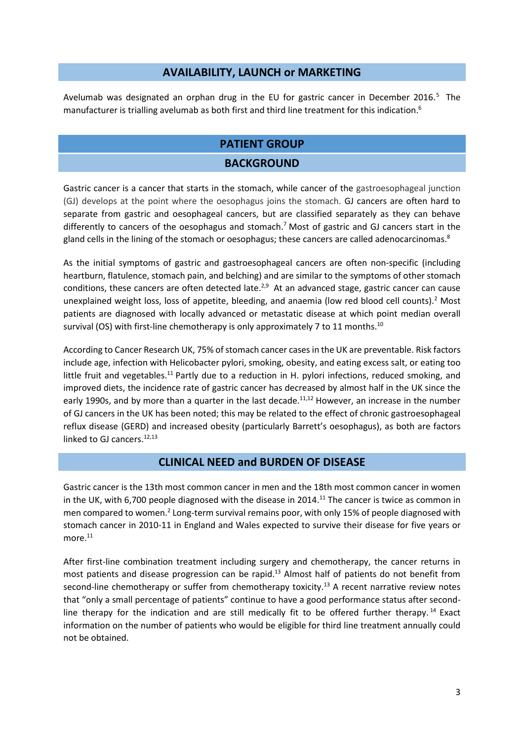#### **AVAILABILITY, LAUNCH or MARKETING**

Avelumab was designated an orphan drug in the EU for gastric cancer in December 2016.<sup>5</sup> The manufacturer is trialling avelumab as both first and third line treatment for this indication.<sup>6</sup>

#### **PATIENT GROUP**

#### <span id="page-2-3"></span>**BACKGROUND**

Gastric cancer is a cancer that starts in the stomach, while cancer of the gastroesophageal junction (GJ) develops at the point where the oesophagus joins the stomach. GJ cancers are often hard to separate from gastric and oesophageal cancers, but are classified separately as they can behave differently to cancers of the oesophagus and stomach.<sup>7</sup> Most of gastric and GJ cancers start in the gland cells in the lining of the stomach or oesophagus; these cancers are called adenocarcinomas.<sup>8</sup>

As the initial symptoms of gastric and gastroesophageal cancers are often non-specific (including heartburn, flatulence, stomach pain, and belching) and are similar to the symptoms of other stomach conditions, these cancers are often detected late.<sup>[2,9](#page-1-1)</sup> At an advanced stage, gastric cancer can cause unexplained weight loss, loss of appetite, bleeding, and anaemia (low red blood cell counts)[.](#page-1-1)<sup>2</sup> Most patients are diagnosed with locally advanced or metastatic disease at which point median overall survival (OS) with first-line chemotherapy is only approximately 7 to 11 months.<sup>10</sup>

According to Cancer Research UK, 75% of stomach cancer cases in the UK are preventable. Risk factors include age, infection with Helicobacter pylori, smoking, obesity, and eating excess salt, or eating too little fruit and vegetables.<sup>11</sup> Partly due to a reduction in H. pylori infections, reduced smoking, and improved diets, the incidence rate of gastric cancer has decreased by almost half in the UK since the early 1990s, and by more than a quarter in the last decade.<sup>[11,1](#page-2-0)2</sup> However, an increase in the number of GJ cancers in the UK has been noted; this may be related to the effect of chronic gastroesophageal reflux disease (GERD) and increased obesity (particularly Barrett's oesophagus), as both are factors linked to GJ cancers. $12,13$  $12,13$ 

#### <span id="page-2-2"></span><span id="page-2-1"></span><span id="page-2-0"></span>**CLINICAL NEED and BURDEN OF DISEASE**

Gastric cancer is the 13th most common cancer in men and the 18th most common cancer in women in the UK, with 6,700 people diagnosed with the disease in 2014.<sup>[11](#page-2-0)</sup> The cancer is twice as common in men compared to women[.](#page-1-1)<sup>2</sup> Long-term survival remains poor, with only 15% of people diagnosed with stomach cancer in 2010-11 in England and Wales expected to survive their disease for five years or  $more.<sup>11</sup>$  $more.<sup>11</sup>$  $more.<sup>11</sup>$ 

After first-line combination treatment including surgery and chemotherapy, the cancer returns in most patients and disease progression can be rapid.<sup>[13](#page-2-2)</sup> Almost half of patients do not benefit from second-line chemotherapy or suffer from chemotherapy toxicity.<sup>[13](#page-2-2)</sup> A recent narrative review notes that "only a small percentage of patients" continue to have a good performance status after secondline therapy for the indication and are still medically fit to be offered further therapy.<sup>14</sup> Exact information on the number of patients who would be eligible for third line treatment annually could not be obtained.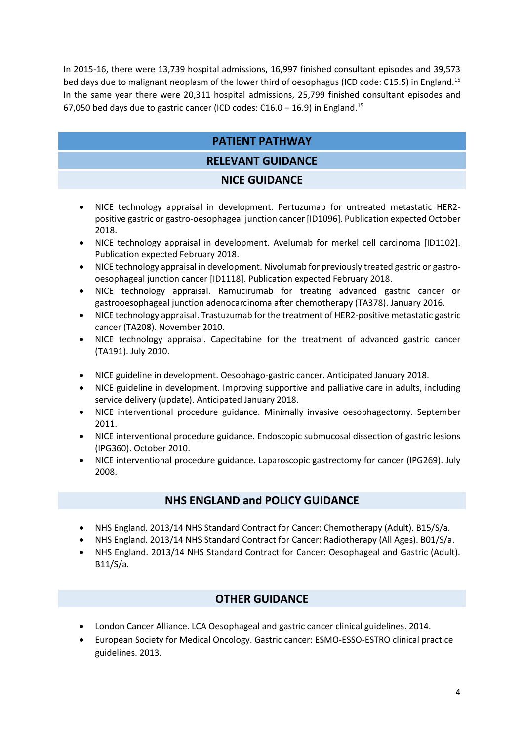In 2015-16, there were 13,739 hospital admissions, 16,997 finished consultant episodes and 39,573 bed days due to malignant neoplasm of the lower third of oesophagus (ICD code: C15.5) in England.<sup>15</sup> In the same year there were 20,311 hospital admissions, 25,799 finished consultant episodes and 67,050 bed days due to gastric cancer (ICD codes:  $C16.0 - 16.9$ ) in England.<sup>[15](#page-3-0)</sup>

# <span id="page-3-0"></span>**PATIENT PATHWAY**

### **RELEVANT GUIDANCE**

#### **NICE GUIDANCE**

- NICE technology appraisal in development. Pertuzumab for untreated metastatic HER2 positive gastric or gastro-oesophageal junction cancer [ID1096]. Publication expected October 2018.
- NICE technology appraisal in development. Avelumab for merkel cell carcinoma [ID1102]. Publication expected February 2018.
- NICE technology appraisal in development. Nivolumab for previously treated gastric or gastrooesophageal junction cancer [ID1118]. Publication expected February 2018.
- NICE technology appraisal. Ramucirumab for treating advanced gastric cancer or gastrooesophageal junction adenocarcinoma after chemotherapy (TA378). January 2016.
- NICE technology appraisal. Trastuzumab for the treatment of HER2-positive metastatic gastric cancer (TA208). November 2010.
- NICE technology appraisal. Capecitabine for the treatment of advanced gastric cancer (TA191). July 2010.
- NICE guideline in development. Oesophago-gastric cancer. Anticipated January 2018.
- NICE guideline in development. Improving supportive and palliative care in adults, including service delivery (update). Anticipated January 2018.
- NICE interventional procedure guidance. Minimally invasive oesophagectomy. September 2011.
- NICE interventional procedure guidance. Endoscopic submucosal dissection of gastric lesions (IPG360). October 2010.
- NICE interventional procedure guidance. Laparoscopic gastrectomy for cancer (IPG269). July 2008.

#### **NHS ENGLAND and POLICY GUIDANCE**

- NHS England. 2013/14 NHS Standard Contract for Cancer: Chemotherapy (Adult). B15/S/a.
- NHS England. 2013/14 NHS Standard Contract for Cancer: Radiotherapy (All Ages). B01/S/a.
- NHS England. 2013/14 NHS Standard Contract for Cancer: Oesophageal and Gastric (Adult). B11/S/a.

# **OTHER GUIDANCE**

- London Cancer Alliance. LCA Oesophageal and gastric cancer clinical guidelines. 2014.
- European Society for Medical Oncology. Gastric cancer: ESMO-ESSO-ESTRO clinical practice guidelines. 2013.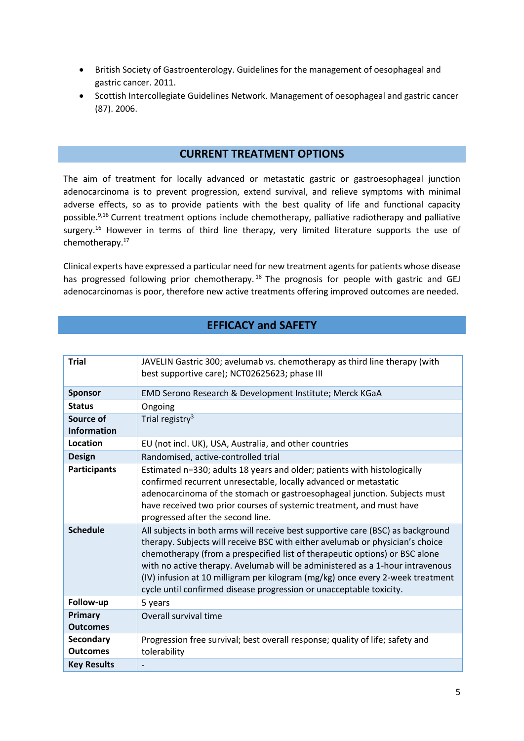- British Society of Gastroenterology. Guidelines for the management of oesophageal and gastric cancer. 2011.
- Scottish Intercollegiate Guidelines Network. Management of oesophageal and gastric cancer (87). 2006.

#### **CURRENT TREATMENT OPTIONS**

<span id="page-4-0"></span>The aim of treatment for locally advanced or metastatic gastric or gastroesophageal junction adenocarcinoma is to prevent progression, extend survival, and relieve symptoms with minimal adverse effects, so as to provide patients with the best quality of life and functional capacity possible. [9,1](#page-2-3)6 Current treatment options include chemotherapy, palliative radiotherapy and palliative surgery.<sup>[16](#page-4-0)</sup> However in terms of third line therapy, very limited literature supports the use of chemotherapy. 17

Clinical experts have expressed a particular need for new treatment agents for patients whose disease has progressed following prior chemotherapy.<sup>18</sup> The prognosis for people with gastric and GEJ adenocarcinomas is poor, therefore new active treatments offering improved outcomes are needed.

# **EFFICACY and SAFETY**

| <b>Trial</b>                        | JAVELIN Gastric 300; avelumab vs. chemotherapy as third line therapy (with<br>best supportive care); NCT02625623; phase III                                                                                                                                                                                                                                                                                                                                                               |  |
|-------------------------------------|-------------------------------------------------------------------------------------------------------------------------------------------------------------------------------------------------------------------------------------------------------------------------------------------------------------------------------------------------------------------------------------------------------------------------------------------------------------------------------------------|--|
| <b>Sponsor</b>                      | EMD Serono Research & Development Institute; Merck KGaA                                                                                                                                                                                                                                                                                                                                                                                                                                   |  |
| <b>Status</b>                       | Ongoing                                                                                                                                                                                                                                                                                                                                                                                                                                                                                   |  |
| Source of<br><b>Information</b>     | Trial registry <sup>3</sup>                                                                                                                                                                                                                                                                                                                                                                                                                                                               |  |
| Location                            | EU (not incl. UK), USA, Australia, and other countries                                                                                                                                                                                                                                                                                                                                                                                                                                    |  |
| <b>Design</b>                       | Randomised, active-controlled trial                                                                                                                                                                                                                                                                                                                                                                                                                                                       |  |
| <b>Participants</b>                 | Estimated n=330; adults 18 years and older; patients with histologically<br>confirmed recurrent unresectable, locally advanced or metastatic<br>adenocarcinoma of the stomach or gastroesophageal junction. Subjects must<br>have received two prior courses of systemic treatment, and must have<br>progressed after the second line.                                                                                                                                                    |  |
| <b>Schedule</b>                     | All subjects in both arms will receive best supportive care (BSC) as background<br>therapy. Subjects will receive BSC with either avelumab or physician's choice<br>chemotherapy (from a prespecified list of therapeutic options) or BSC alone<br>with no active therapy. Avelumab will be administered as a 1-hour intravenous<br>(IV) infusion at 10 milligram per kilogram (mg/kg) once every 2-week treatment<br>cycle until confirmed disease progression or unacceptable toxicity. |  |
| Follow-up                           | 5 years                                                                                                                                                                                                                                                                                                                                                                                                                                                                                   |  |
| Primary<br><b>Outcomes</b>          | Overall survival time                                                                                                                                                                                                                                                                                                                                                                                                                                                                     |  |
| <b>Secondary</b><br><b>Outcomes</b> | Progression free survival; best overall response; quality of life; safety and<br>tolerability                                                                                                                                                                                                                                                                                                                                                                                             |  |
| <b>Key Results</b>                  |                                                                                                                                                                                                                                                                                                                                                                                                                                                                                           |  |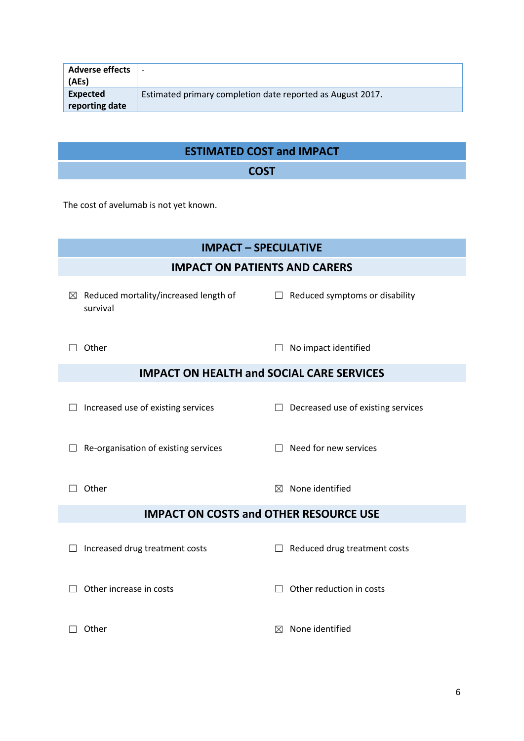| <b>Adverse effects</b><br>(AEs) |                                                            |
|---------------------------------|------------------------------------------------------------|
| Expected                        | Estimated primary completion date reported as August 2017. |
| reporting date                  |                                                            |

| <b>ESTIMATED COST and IMPACT</b> |  |
|----------------------------------|--|
| <b>COST</b>                      |  |

The cost of avelumab is not yet known.

| <b>IMPACT - SPECULATIVE</b>                                      |                                          |  |  |  |
|------------------------------------------------------------------|------------------------------------------|--|--|--|
|                                                                  | <b>IMPACT ON PATIENTS AND CARERS</b>     |  |  |  |
| Reduced mortality/increased length of<br>$\boxtimes$<br>survival | Reduced symptoms or disability<br>$\Box$ |  |  |  |
| Other                                                            | No impact identified                     |  |  |  |
| <b>IMPACT ON HEALTH and SOCIAL CARE SERVICES</b>                 |                                          |  |  |  |
| Increased use of existing services                               | Decreased use of existing services       |  |  |  |
| Re-organisation of existing services<br>$\Box$                   | Need for new services                    |  |  |  |
| Other                                                            | None identified<br>$\boxtimes$           |  |  |  |
| <b>IMPACT ON COSTS and OTHER RESOURCE USE</b>                    |                                          |  |  |  |
| Increased drug treatment costs<br>Ш                              | Reduced drug treatment costs             |  |  |  |
| Other increase in costs                                          | Other reduction in costs                 |  |  |  |
| Other                                                            | None identified<br>$\bowtie$             |  |  |  |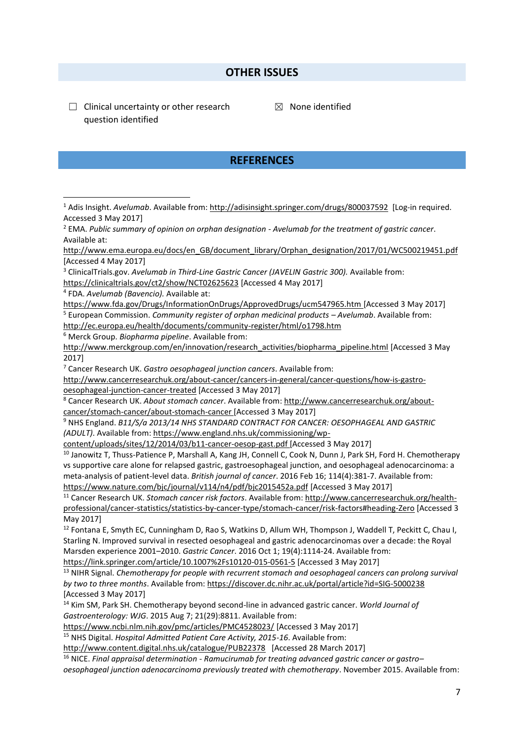#### **OTHER ISSUES**

 $\Box$  Clinical uncertainty or other research question identified

**.** 

 $<sup>8</sup>$  None identified</sup>

#### **REFERENCES**

<sup>1</sup> Adis Insight. *Avelumab*. Available from[: http://adisinsight.springer.com/drugs/800037592](http://adisinsight.springer.com/drugs/800037592) [Log-in required. Accessed 3 May 2017] <sup>2</sup> EMA. *Public summary of opinion on orphan designation - Avelumab for the treatment of gastric cancer*. Available at: [http://www.ema.europa.eu/docs/en\\_GB/document\\_library/Orphan\\_designation/2017/01/WC500219451.pdf](http://www.ema.europa.eu/docs/en_GB/document_library/Orphan_designation/2017/01/WC500219451.pdf)  [Accessed 4 May 2017] <sup>3</sup> ClinicalTrials.gov. *Avelumab in Third-Line Gastric Cancer (JAVELIN Gastric 300).* Available from: <https://clinicaltrials.gov/ct2/show/NCT02625623> [Accessed 4 May 2017] 4 FDA. *Avelumab (Bavencio).* Available at: <https://www.fda.gov/Drugs/InformationOnDrugs/ApprovedDrugs/ucm547965.htm> [Accessed 3 May 2017] <sup>5</sup> European Commission. *Community register of orphan medicinal products – Avelumab*. Available from: <http://ec.europa.eu/health/documents/community-register/html/o1798.htm> <sup>6</sup> Merck Group. *Biopharma pipeline*. Available from: [http://www.merckgroup.com/en/innovation/research\\_activities/biopharma\\_pipeline.html](http://www.merckgroup.com/en/innovation/research_activities/biopharma_pipeline.html) [Accessed 3 May 2017] <sup>7</sup> Cancer Research UK. *Gastro oesophageal junction cancers*. Available from: [http://www.cancerresearchuk.org/about-cancer/cancers-in-general/cancer-questions/how-is-gastro](http://www.cancerresearchuk.org/about-cancer/cancers-in-general/cancer-questions/how-is-gastro-oesophageal-junction-cancer-treated)[oesophageal-junction-cancer-treated](http://www.cancerresearchuk.org/about-cancer/cancers-in-general/cancer-questions/how-is-gastro-oesophageal-junction-cancer-treated) [Accessed 3 May 2017] <sup>8</sup> Cancer Research UK. *About stomach cancer*. Available from: [http://www.cancerresearchuk.org/about](http://www.cancerresearchuk.org/about-cancer/stomach-cancer/about-stomach-cancer)[cancer/stomach-cancer/about-stomach-cancer](http://www.cancerresearchuk.org/about-cancer/stomach-cancer/about-stomach-cancer) [Accessed 3 May 2017] <sup>9</sup> NHS England. *B11/S/a 2013/14 NHS STANDARD CONTRACT FOR CANCER: OESOPHAGEAL AND GASTRIC (ADULT)*. Available from: [https://www.england.nhs.uk/commissioning/wp](https://www.england.nhs.uk/commissioning/wp-content/uploads/sites/12/2014/03/b11-cancer-oesop-gast.pdf)[content/uploads/sites/12/2014/03/b11-cancer-oesop-gast.pdf](https://www.england.nhs.uk/commissioning/wp-content/uploads/sites/12/2014/03/b11-cancer-oesop-gast.pdf) [Accessed 3 May 2017] <sup>10</sup> Janowitz T, Thuss-Patience P, Marshall A, Kang JH, Connell C, Cook N, Dunn J, Park SH, Ford H. Chemotherapy vs supportive care alone for relapsed gastric, gastroesophageal junction, and oesophageal adenocarcinoma: a meta-analysis of patient-level data. *British journal of cancer*. 2016 Feb 16; 114(4):381-7. Available from: <https://www.nature.com/bjc/journal/v114/n4/pdf/bjc2015452a.pdf> [Accessed 3 May 2017] <sup>11</sup> Cancer Research UK. *Stomach cancer risk factors*. Available from: [http://www.cancerresearchuk.org/health](http://www.cancerresearchuk.org/health-professional/cancer-statistics/statistics-by-cancer-type/stomach-cancer/risk-factors#heading-Zero)[professional/cancer-statistics/statistics-by-cancer-type/stomach-cancer/risk-factors#heading-Zero](http://www.cancerresearchuk.org/health-professional/cancer-statistics/statistics-by-cancer-type/stomach-cancer/risk-factors#heading-Zero) [Accessed 3 May 2017]  $12$  Fontana E, Smyth EC, Cunningham D, Rao S, Watkins D, Allum WH, Thompson J, Waddell T, Peckitt C, Chau I, Starling N. Improved survival in resected oesophageal and gastric adenocarcinomas over a decade: the Royal Marsden experience 2001–2010. *Gastric Cancer*. 2016 Oct 1; 19(4):1114-24. Available from: <https://link.springer.com/article/10.1007%2Fs10120-015-0561-5> [Accessed 3 May 2017] <sup>13</sup> NIHR Signal. *Chemotherapy for people with recurrent stomach and oesophageal cancers can prolong survival by two to three months*. Available from[: https://discover.dc.nihr.ac.uk/portal/article?id=SIG-5000238](https://discover.dc.nihr.ac.uk/portal/article?id=SIG-5000238) [Accessed 3 May 2017] <sup>14</sup> Kim SM, Park SH. Chemotherapy beyond second-line in advanced gastric cancer. *World Journal of Gastroenterology: WJG*. 2015 Aug 7; 21(29):8811. Available from: <https://www.ncbi.nlm.nih.gov/pmc/articles/PMC4528023/> [Accessed 3 May 2017] <sup>15</sup> NHS Digital. *Hospital Admitted Patient Care Activity, 2015-16*. Available from: <http://www.content.digital.nhs.uk/catalogue/PUB22378>[Accessed 28 March 2017] <sup>16</sup> NICE. *Final appraisal determination - Ramucirumab for treating advanced gastric cancer or gastro– oesophageal junction adenocarcinoma previously treated with chemotherapy*. November 2015. Available from: